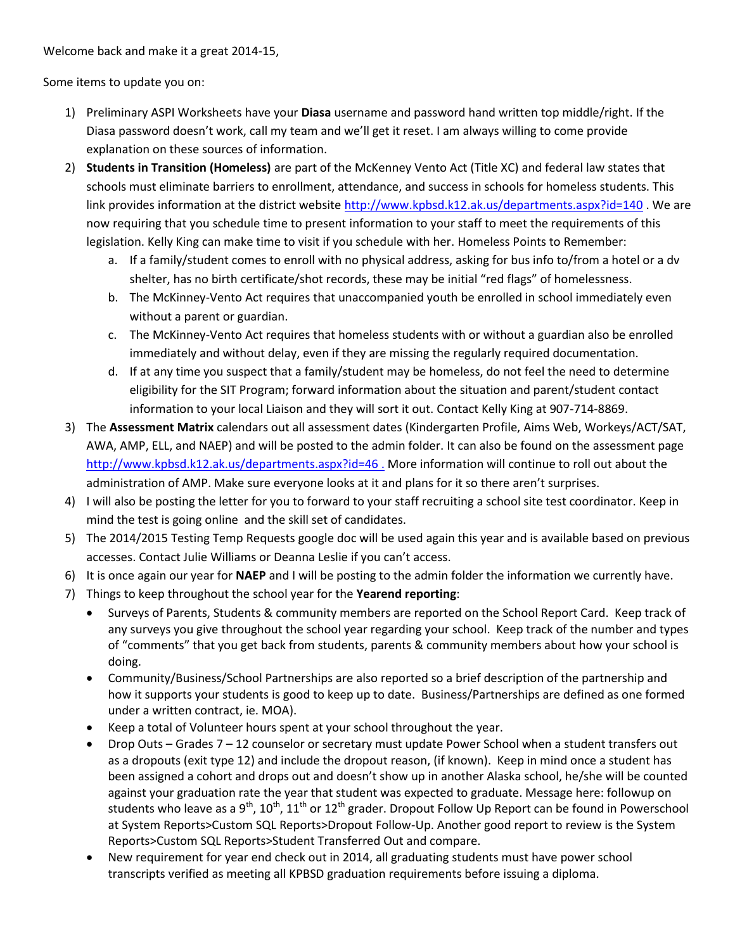Welcome back and make it a great 2014-15,

Some items to update you on:

- 1) Preliminary ASPI Worksheets have your **Diasa** username and password hand written top middle/right. If the Diasa password doesn't work, call my team and we'll get it reset. I am always willing to come provide explanation on these sources of information.
- 2) **Students in Transition (Homeless)** are part of the McKenney Vento Act (Title XC) and federal law states that schools must eliminate barriers to enrollment, attendance, and success in schools for homeless students. This link provides information at the district website<http://www.kpbsd.k12.ak.us/departments.aspx?id=140> . We are now requiring that you schedule time to present information to your staff to meet the requirements of this legislation. Kelly King can make time to visit if you schedule with her. Homeless Points to Remember:
	- a. If a family/student comes to enroll with no physical address, asking for bus info to/from a hotel or a dv shelter, has no birth certificate/shot records, these may be initial "red flags" of homelessness.
	- b. The McKinney-Vento Act requires that unaccompanied youth be enrolled in school immediately even without a parent or guardian.
	- c. The McKinney-Vento Act requires that homeless students with or without a guardian also be enrolled immediately and without delay, even if they are missing the regularly required documentation.
	- d. If at any time you suspect that a family/student may be homeless, do not feel the need to determine eligibility for the SIT Program; forward information about the situation and parent/student contact information to your local Liaison and they will sort it out. Contact Kelly King at 907-714-8869.
- 3) The **Assessment Matrix** calendars out all assessment dates (Kindergarten Profile, Aims Web, Workeys/ACT/SAT, AWA, AMP, ELL, and NAEP) and will be posted to the admin folder. It can also be found on the assessment page <http://www.kpbsd.k12.ak.us/departments.aspx?id=46> . More information will continue to roll out about the administration of AMP. Make sure everyone looks at it and plans for it so there aren't surprises.
- 4) I will also be posting the letter for you to forward to your staff recruiting a school site test coordinator. Keep in mind the test is going online and the skill set of candidates.
- 5) The 2014/2015 Testing Temp Requests google doc will be used again this year and is available based on previous accesses. Contact Julie Williams or Deanna Leslie if you can't access.
- 6) It is once again our year for **NAEP** and I will be posting to the admin folder the information we currently have.
- 7) Things to keep throughout the school year for the **Yearend reporting**:
	- Surveys of Parents, Students & community members are reported on the School Report Card. Keep track of any surveys you give throughout the school year regarding your school. Keep track of the number and types of "comments" that you get back from students, parents & community members about how your school is doing.
	- Community/Business/School Partnerships are also reported so a brief description of the partnership and how it supports your students is good to keep up to date. Business/Partnerships are defined as one formed under a written contract, ie. MOA).
	- Keep a total of Volunteer hours spent at your school throughout the year.
	- Drop Outs Grades 7 12 counselor or secretary must update Power School when a student transfers out as a dropouts (exit type 12) and include the dropout reason, (if known). Keep in mind once a student has been assigned a cohort and drops out and doesn't show up in another Alaska school, he/she will be counted against your graduation rate the year that student was expected to graduate. Message here: followup on students who leave as a 9<sup>th</sup>, 10<sup>th</sup>, 11<sup>th</sup> or 12<sup>th</sup> grader. Dropout Follow Up Report can be found in Powerschool at System Reports>Custom SQL Reports>Dropout Follow-Up. Another good report to review is the System Reports>Custom SQL Reports>Student Transferred Out and compare.
	- New requirement for year end check out in 2014, all graduating students must have power school transcripts verified as meeting all KPBSD graduation requirements before issuing a diploma.